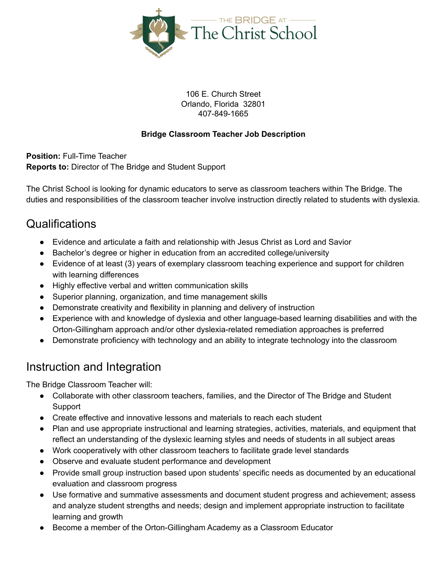

106 E. Church Street Orlando, Florida 32801 407-849-1665

#### **Bridge Classroom Teacher Job Description**

**Position:** Full-Time Teacher **Reports to:** Director of The Bridge and Student Support

The Christ School is looking for dynamic educators to serve as classroom teachers within The Bridge. The duties and responsibilities of the classroom teacher involve instruction directly related to students with dyslexia.

#### **Qualifications**

- Evidence and articulate a faith and relationship with Jesus Christ as Lord and Savior
- Bachelor's degree or higher in education from an accredited college/university
- Evidence of at least (3) years of exemplary classroom teaching experience and support for children with learning differences
- Highly effective verbal and written communication skills
- Superior planning, organization, and time management skills
- Demonstrate creativity and flexibility in planning and delivery of instruction
- Experience with and knowledge of dyslexia and other language-based learning disabilities and with the Orton-Gillingham approach and/or other dyslexia-related remediation approaches is preferred
- Demonstrate proficiency with technology and an ability to integrate technology into the classroom

## Instruction and Integration

The Bridge Classroom Teacher will:

- Collaborate with other classroom teachers, families, and the Director of The Bridge and Student **Support**
- Create effective and innovative lessons and materials to reach each student
- Plan and use appropriate instructional and learning strategies, activities, materials, and equipment that reflect an understanding of the dyslexic learning styles and needs of students in all subject areas
- Work cooperatively with other classroom teachers to facilitate grade level standards
- Observe and evaluate student performance and development
- Provide small group instruction based upon students' specific needs as documented by an educational evaluation and classroom progress
- Use formative and summative assessments and document student progress and achievement; assess and analyze student strengths and needs; design and implement appropriate instruction to facilitate learning and growth
- Become a member of the Orton-Gillingham Academy as a Classroom Educator